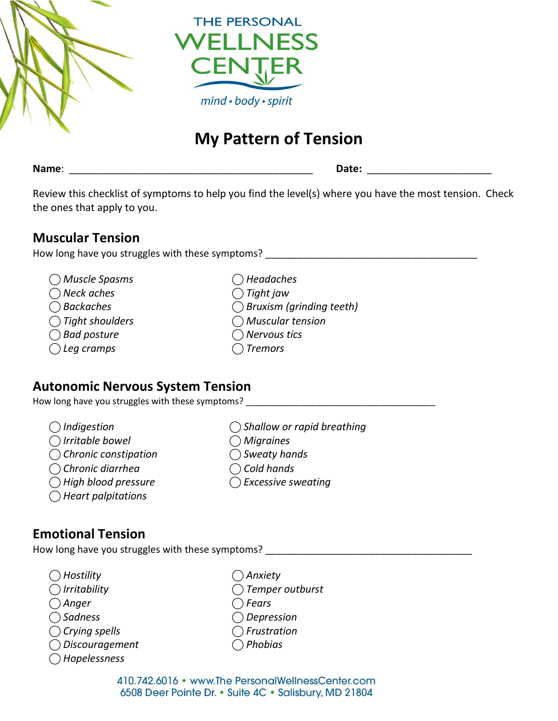

# **My Pattern of Tension**

**Name**: \_\_\_\_\_\_\_\_\_\_\_\_\_\_\_\_\_\_\_\_\_\_\_\_\_\_\_\_\_\_\_\_\_\_\_\_\_\_\_\_\_\_\_ **Date:** \_\_\_\_\_\_\_\_\_\_\_\_\_\_\_\_\_\_\_\_\_\_

Review this checklist of symptoms to help you find the level(s) where you have the most tension. Check the ones that apply to you.

#### **Muscular Tension**

How long have you struggles with these symptoms?

- *⃝ Muscle Spasms ⃝ Headaches*
- *⃝ Neck aches ⃝ Tight jaw*
- 
- *⃝ Tight shoulders ⃝ Muscular tension*
- *⃝ Bad posture ⃝ Nervous tics*
- *⃝ Leg cramps ⃝ Tremors*
- 
- 
- *⃝ Backaches ⃝ Bruxism (grinding teeth)*
	-
	-
	-

#### **Autonomic Nervous System Tension**

How long have you struggles with these symptoms?

- 
- 
- 
- 
- 
- *⃝ Heart palpitations*
- *⃝ Indigestion ⃝ Shallow or rapid breathing*
- *⃝ Irritable bowel ⃝ Migraines*
- *⃝ Chronic constipation ⃝ Sweaty hands*
- *⃝ Chronic diarrhea ⃝ Cold hands*
- *⃝ High blood pressure ⃝ Excessive sweating*

## **Emotional Tension**

How long have you struggles with these symptoms?

- *⃝ Hostility ⃝ Anxiety ⃝ Irritability ⃝ Temper outburst*
- *⃝ Anger ⃝ Fears*
- *⃝ Sadness ⃝ Depression*
- *⃝ Crying spells ⃝ Frustration*
- 
- *⃝ Hopelessness*
- -
- 
- 
- 
- *⃝ Discouragement ⃝ Phobias*

410.742.6016 • www.The PersonalWellnessCenter.com 6508 Deer Pointe Dr. • Suite 4C • Salisbury, MD 21804